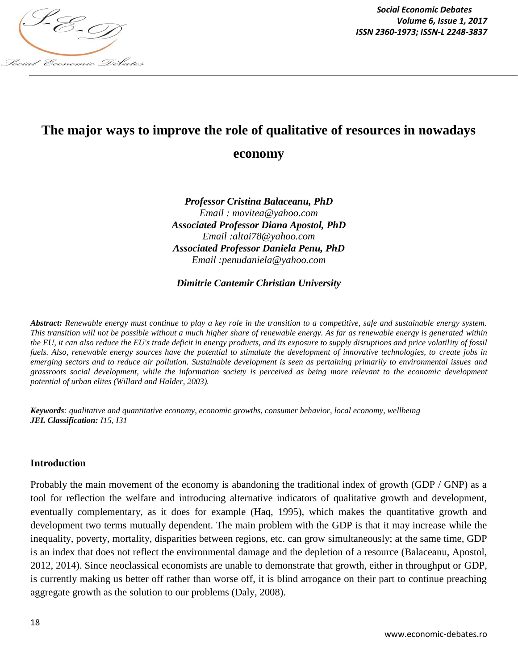

# **The major ways to improve the role of qualitative of resources in nowadays**

# **economy**

*Professor Cristina Balaceanu, PhD Email : movitea@yahoo.com Associated Professor Diana Apostol, PhD Email :altai78@yahoo.com Associated Professor Daniela Penu, PhD Email :penudaniela@yahoo.com*

# *Dimitrie Cantemir Christian University*

*Abstract: Renewable energy must continue to play a key role in the transition to a competitive, safe and sustainable energy system. This transition will not be possible without a much higher share of renewable energy. As far as renewable energy is generated within the EU, it can also reduce the EU's trade deficit in energy products, and its exposure to supply disruptions and price volatility of fossil fuels. Also, renewable energy sources have the potential to stimulate the development of innovative technologies, to create jobs in emerging sectors and to reduce air pollution. Sustainable development is seen as pertaining primarily to environmental issues and grassroots social development, while the information society is perceived as being more relevant to the economic development potential of urban elites (Willard and Halder, 2003).*

*Keywords: qualitative and quantitative economy, economic growths, consumer behavior, local economy, wellbeing JEL Classification: I15, I31*

## **Introduction**

Probably the main movement of the economy is abandoning the traditional index of growth (GDP / GNP) as a tool for reflection the welfare and introducing alternative indicators of qualitative growth and development, eventually complementary, as it does for example (Haq, 1995), which makes the quantitative growth and development two terms mutually dependent. The main problem with the GDP is that it may increase while the inequality, poverty, mortality, disparities between regions, etc. can grow simultaneously; at the same time, GDP is an index that does not reflect the environmental damage and the depletion of a resource (Balaceanu, Apostol, 2012, 2014). Since neoclassical economists are unable to demonstrate that growth, either in throughput or GDP, is currently making us better off rather than worse off, it is blind arrogance on their part to continue preaching aggregate growth as the solution to our problems (Daly, 2008).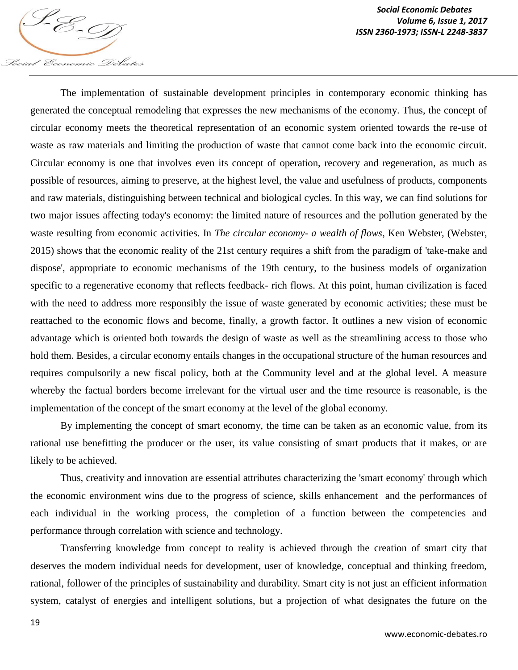

*Social Economic Debates Volume 6, Issue 1, 2017*

The implementation of sustainable development principles in contemporary economic thinking has generated the conceptual remodeling that expresses the new mechanisms of the economy. Thus, the concept of circular economy meets the theoretical representation of an economic system oriented towards the re-use of waste as raw materials and limiting the production of waste that cannot come back into the economic circuit. Circular economy is one that involves even its concept of operation, recovery and regeneration, as much as possible of resources, aiming to preserve, at the highest level, the value and usefulness of products, components and raw materials, distinguishing between technical and biological cycles. In this way, we can find solutions for two major issues affecting today's economy: the limited nature of resources and the pollution generated by the waste resulting from economic activities. In *The circular economy- a wealth of flows*, Ken Webster, (Webster, 2015) shows that the economic reality of the 21st century requires a shift from the paradigm of 'take-make and dispose', appropriate to economic mechanisms of the 19th century, to the business models of organization specific to a regenerative economy that reflects feedback- rich flows. At this point, human civilization is faced with the need to address more responsibly the issue of waste generated by economic activities; these must be reattached to the economic flows and become, finally, a growth factor. It outlines a new vision of economic advantage which is oriented both towards the design of waste as well as the streamlining access to those who hold them. Besides, a circular economy entails changes in the occupational structure of the human resources and requires compulsorily a new fiscal policy, both at the Community level and at the global level. A measure whereby the factual borders become irrelevant for the virtual user and the time resource is reasonable, is the implementation of the concept of the smart economy at the level of the global economy.

By implementing the concept of smart economy, the time can be taken as an economic value, from its rational use benefitting the producer or the user, its value consisting of smart products that it makes, or are likely to be achieved.

Thus, creativity and innovation are essential attributes characterizing the 'smart economy' through which the economic environment wins due to the progress of science, skills enhancement and the performances of each individual in the working process, the completion of a function between the competencies and performance through correlation with science and technology.

Transferring knowledge from concept to reality is achieved through the creation of smart city that deserves the modern individual needs for development, user of knowledge, conceptual and thinking freedom, rational, follower of the principles of sustainability and durability. Smart city is not just an efficient information system, catalyst of energies and intelligent solutions, but a projection of what designates the future on the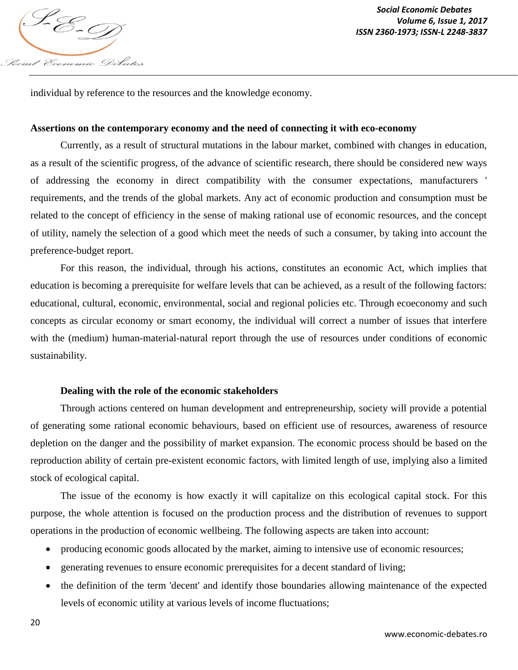

individual by reference to the resources and the knowledge economy.

#### **Assertions on the contemporary economy and the need of connecting it with eco-economy**

Currently, as a result of structural mutations in the labour market, combined with changes in education, as a result of the scientific progress, of the advance of scientific research, there should be considered new ways of addressing the economy in direct compatibility with the consumer expectations, manufacturers ' requirements, and the trends of the global markets. Any act of economic production and consumption must be related to the concept of efficiency in the sense of making rational use of economic resources, and the concept of utility, namely the selection of a good which meet the needs of such a consumer, by taking into account the preference-budget report.

For this reason, the individual, through his actions, constitutes an economic Act, which implies that education is becoming a prerequisite for welfare levels that can be achieved, as a result of the following factors: educational, cultural, economic, environmental, social and regional policies etc. Through ecoeconomy and such concepts as circular economy or smart economy, the individual will correct a number of issues that interfere with the (medium) human-material-natural report through the use of resources under conditions of economic sustainability.

## **Dealing with the role of the economic stakeholders**

Through actions centered on human development and entrepreneurship, society will provide a potential of generating some rational economic behaviours, based on efficient use of resources, awareness of resource depletion on the danger and the possibility of market expansion. The economic process should be based on the reproduction ability of certain pre-existent economic factors, with limited length of use, implying also a limited stock of ecological capital.

The issue of the economy is how exactly it will capitalize on this ecological capital stock. For this purpose, the whole attention is focused on the production process and the distribution of revenues to support operations in the production of economic wellbeing. The following aspects are taken into account:

- producing economic goods allocated by the market, aiming to intensive use of economic resources;
- generating revenues to ensure economic prerequisites for a decent standard of living;
- the definition of the term 'decent' and identify those boundaries allowing maintenance of the expected levels of economic utility at various levels of income fluctuations;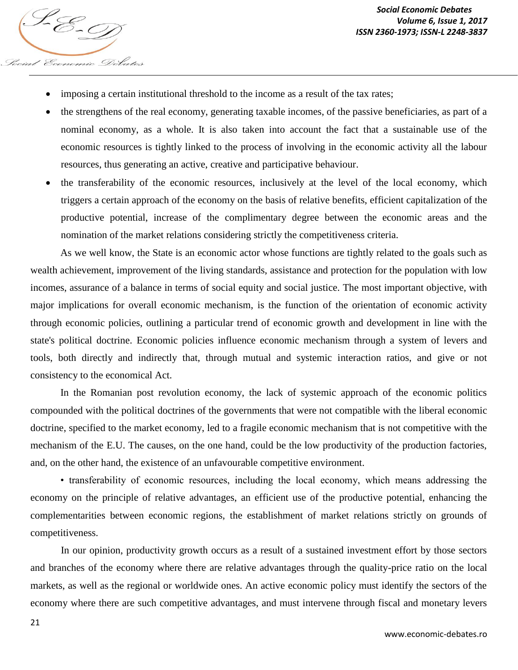- imposing a certain institutional threshold to the income as a result of the tax rates;
- the strengthens of the real economy, generating taxable incomes, of the passive beneficiaries, as part of a nominal economy, as a whole. It is also taken into account the fact that a sustainable use of the economic resources is tightly linked to the process of involving in the economic activity all the labour resources, thus generating an active, creative and participative behaviour.
- the transferability of the economic resources, inclusively at the level of the local economy, which triggers a certain approach of the economy on the basis of relative benefits, efficient capitalization of the productive potential, increase of the complimentary degree between the economic areas and the nomination of the market relations considering strictly the competitiveness criteria.

As we well know, the State is an economic actor whose functions are tightly related to the goals such as wealth achievement, improvement of the living standards, assistance and protection for the population with low incomes, assurance of a balance in terms of social equity and social justice. The most important objective, with major implications for overall economic mechanism, is the function of the orientation of economic activity through economic policies, outlining a particular trend of economic growth and development in line with the state's political doctrine. Economic policies influence economic mechanism through a system of levers and tools, both directly and indirectly that, through mutual and systemic interaction ratios, and give or not consistency to the economical Act.

In the Romanian post revolution economy, the lack of systemic approach of the economic politics compounded with the political doctrines of the governments that were not compatible with the liberal economic doctrine, specified to the market economy, led to a fragile economic mechanism that is not competitive with the mechanism of the E.U. The causes, on the one hand, could be the low productivity of the production factories, and, on the other hand, the existence of an unfavourable competitive environment.

• transferability of economic resources, including the local economy, which means addressing the economy on the principle of relative advantages, an efficient use of the productive potential, enhancing the complementarities between economic regions, the establishment of market relations strictly on grounds of competitiveness.

In our opinion, productivity growth occurs as a result of a sustained investment effort by those sectors and branches of the economy where there are relative advantages through the quality-price ratio on the local markets, as well as the regional or worldwide ones. An active economic policy must identify the sectors of the economy where there are such competitive advantages, and must intervene through fiscal and monetary levers

Social Economic Debates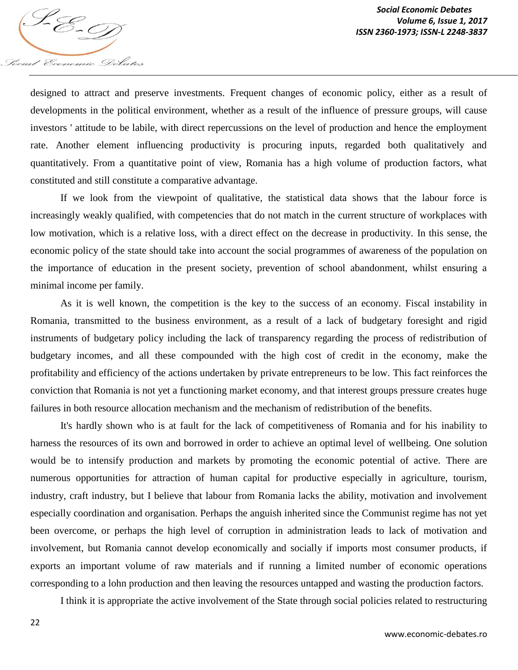

designed to attract and preserve investments. Frequent changes of economic policy, either as a result of developments in the political environment, whether as a result of the influence of pressure groups, will cause investors ' attitude to be labile, with direct repercussions on the level of production and hence the employment rate. Another element influencing productivity is procuring inputs, regarded both qualitatively and quantitatively. From a quantitative point of view, Romania has a high volume of production factors, what constituted and still constitute a comparative advantage.

If we look from the viewpoint of qualitative, the statistical data shows that the labour force is increasingly weakly qualified, with competencies that do not match in the current structure of workplaces with low motivation, which is a relative loss, with a direct effect on the decrease in productivity. In this sense, the economic policy of the state should take into account the social programmes of awareness of the population on the importance of education in the present society, prevention of school abandonment, whilst ensuring a minimal income per family.

As it is well known, the competition is the key to the success of an economy. Fiscal instability in Romania, transmitted to the business environment, as a result of a lack of budgetary foresight and rigid instruments of budgetary policy including the lack of transparency regarding the process of redistribution of budgetary incomes, and all these compounded with the high cost of credit in the economy, make the profitability and efficiency of the actions undertaken by private entrepreneurs to be low. This fact reinforces the conviction that Romania is not yet a functioning market economy, and that interest groups pressure creates huge failures in both resource allocation mechanism and the mechanism of redistribution of the benefits.

It's hardly shown who is at fault for the lack of competitiveness of Romania and for his inability to harness the resources of its own and borrowed in order to achieve an optimal level of wellbeing. One solution would be to intensify production and markets by promoting the economic potential of active. There are numerous opportunities for attraction of human capital for productive especially in agriculture, tourism, industry, craft industry, but I believe that labour from Romania lacks the ability, motivation and involvement especially coordination and organisation. Perhaps the anguish inherited since the Communist regime has not yet been overcome, or perhaps the high level of corruption in administration leads to lack of motivation and involvement, but Romania cannot develop economically and socially if imports most consumer products, if exports an important volume of raw materials and if running a limited number of economic operations corresponding to a lohn production and then leaving the resources untapped and wasting the production factors.

I think it is appropriate the active involvement of the State through social policies related to restructuring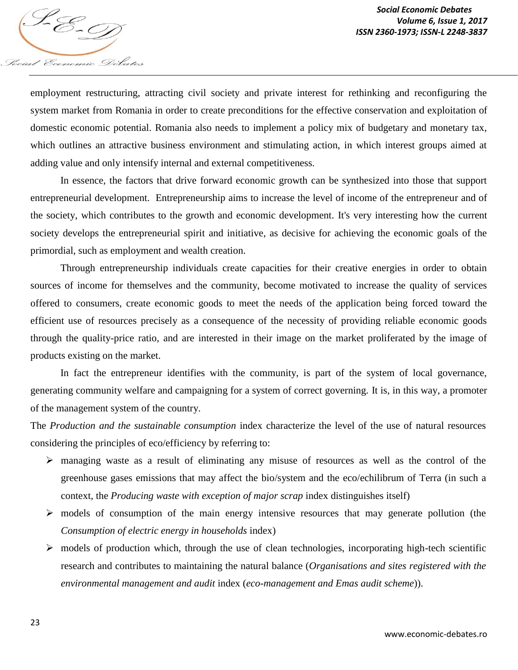

employment restructuring, attracting civil society and private interest for rethinking and reconfiguring the system market from Romania in order to create preconditions for the effective conservation and exploitation of domestic economic potential. Romania also needs to implement a policy mix of budgetary and monetary tax, which outlines an attractive business environment and stimulating action, in which interest groups aimed at adding value and only intensify internal and external competitiveness.

In essence, the factors that drive forward economic growth can be synthesized into those that support entrepreneurial development. Entrepreneurship aims to increase the level of income of the entrepreneur and of the society, which contributes to the growth and economic development. It's very interesting how the current society develops the entrepreneurial spirit and initiative, as decisive for achieving the economic goals of the primordial, such as employment and wealth creation.

Through entrepreneurship individuals create capacities for their creative energies in order to obtain sources of income for themselves and the community, become motivated to increase the quality of services offered to consumers, create economic goods to meet the needs of the application being forced toward the efficient use of resources precisely as a consequence of the necessity of providing reliable economic goods through the quality-price ratio, and are interested in their image on the market proliferated by the image of products existing on the market.

In fact the entrepreneur identifies with the community, is part of the system of local governance, generating community welfare and campaigning for a system of correct governing. It is, in this way, a promoter of the management system of the country.

The *Production and the sustainable consumption* index characterize the level of the use of natural resources considering the principles of eco/efficiency by referring to:

- managing waste as a result of eliminating any misuse of resources as well as the control of the greenhouse gases emissions that may affect the bio/system and the eco/echilibrum of Terra (in such a context, the *Producing waste with exception of major scrap* index distinguishes itself)
- $\triangleright$  models of consumption of the main energy intensive resources that may generate pollution (the *Consumption of electric energy in households* index)
- $\triangleright$  models of production which, through the use of clean technologies, incorporating high-tech scientific research and contributes to maintaining the natural balance (*Organisations and sites registered with the environmental management and audit* index (*eco-management and Emas audit scheme*)).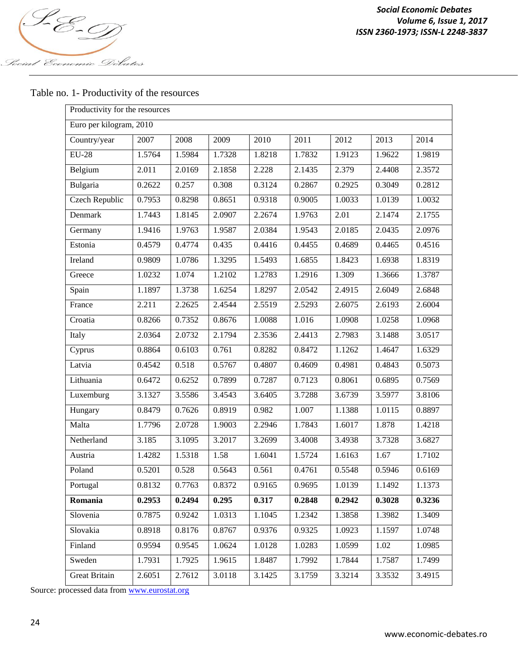

# Table no. 1- Productivity of the resources

| Productivity for the resources |        |        |                     |                     |        |        |        |        |
|--------------------------------|--------|--------|---------------------|---------------------|--------|--------|--------|--------|
| Euro per kilogram, 2010        |        |        |                     |                     |        |        |        |        |
| Country/year                   | 2007   | 2008   | 2009                | 2010                | 2011   | 2012   | 2013   | 2014   |
| $EU-28$                        | 1.5764 | 1.5984 | $\overline{1.7328}$ | 1.8218              | 1.7832 | 1.9123 | 1.9622 | 1.9819 |
| Belgium                        | 2.011  | 2.0169 | 2.1858              | 2.228               | 2.1435 | 2.379  | 2.4408 | 2.3572 |
| Bulgaria                       | 0.2622 | 0.257  | 0.308               | 0.3124              | 0.2867 | 0.2925 | 0.3049 | 0.2812 |
| Czech Republic                 | 0.7953 | 0.8298 | 0.8651              | 0.9318              | 0.9005 | 1.0033 | 1.0139 | 1.0032 |
| Denmark                        | 1.7443 | 1.8145 | 2.0907              | 2.2674              | 1.9763 | 2.01   | 2.1474 | 2.1755 |
| Germany                        | 1.9416 | 1.9763 | 1.9587              | 2.0384              | 1.9543 | 2.0185 | 2.0435 | 2.0976 |
| Estonia                        | 0.4579 | 0.4774 | 0.435               | 0.4416              | 0.4455 | 0.4689 | 0.4465 | 0.4516 |
| Ireland                        | 0.9809 | 1.0786 | $\overline{1.3295}$ | $\overline{1.5493}$ | 1.6855 | 1.8423 | 1.6938 | 1.8319 |
| Greece                         | 1.0232 | 1.074  | 1.2102              | 1.2783              | 1.2916 | 1.309  | 1.3666 | 1.3787 |
| Spain                          | 1.1897 | 1.3738 | 1.6254              | 1.8297              | 2.0542 | 2.4915 | 2.6049 | 2.6848 |
| France                         | 2.211  | 2.2625 | 2.4544              | 2.5519              | 2.5293 | 2.6075 | 2.6193 | 2.6004 |
| Croatia                        | 0.8266 | 0.7352 | 0.8676              | 1.0088              | 1.016  | 1.0908 | 1.0258 | 1.0968 |
| Italy                          | 2.0364 | 2.0732 | 2.1794              | 2.3536              | 2.4413 | 2.7983 | 3.1488 | 3.0517 |
| Cyprus                         | 0.8864 | 0.6103 | 0.761               | 0.8282              | 0.8472 | 1.1262 | 1.4647 | 1.6329 |
| Latvia                         | 0.4542 | 0.518  | 0.5767              | 0.4807              | 0.4609 | 0.4981 | 0.4843 | 0.5073 |
| Lithuania                      | 0.6472 | 0.6252 | 0.7899              | 0.7287              | 0.7123 | 0.8061 | 0.6895 | 0.7569 |
| Luxemburg                      | 3.1327 | 3.5586 | 3.4543              | 3.6405              | 3.7288 | 3.6739 | 3.5977 | 3.8106 |
| Hungary                        | 0.8479 | 0.7626 | 0.8919              | 0.982               | 1.007  | 1.1388 | 1.0115 | 0.8897 |
| Malta                          | 1.7796 | 2.0728 | 1.9003              | 2.2946              | 1.7843 | 1.6017 | 1.878  | 1.4218 |
| Netherland                     | 3.185  | 3.1095 | 3.2017              | 3.2699              | 3.4008 | 3.4938 | 3.7328 | 3.6827 |
| Austria                        | 1.4282 | 1.5318 | 1.58                | 1.6041              | 1.5724 | 1.6163 | 1.67   | 1.7102 |
| Poland                         | 0.5201 | 0.528  | 0.5643              | 0.561               | 0.4761 | 0.5548 | 0.5946 | 0.6169 |
| Portugal                       | 0.8132 | 0.7763 | 0.8372              | 0.9165              | 0.9695 | 1.0139 | 1.1492 | 1.1373 |
| Romania                        | 0.2953 | 0.2494 | 0.295               | 0.317               | 0.2848 | 0.2942 | 0.3028 | 0.3236 |
| Slovenia                       | 0.7875 | 0.9242 | 1.0313              | 1.1045              | 1.2342 | 1.3858 | 1.3982 | 1.3409 |
| Slovakia                       | 0.8918 | 0.8176 | 0.8767              | 0.9376              | 0.9325 | 1.0923 | 1.1597 | 1.0748 |
| Finland                        | 0.9594 | 0.9545 | 1.0624              | 1.0128              | 1.0283 | 1.0599 | 1.02   | 1.0985 |
| Sweden                         | 1.7931 | 1.7925 | 1.9615              | 1.8487              | 1.7992 | 1.7844 | 1.7587 | 1.7499 |
| <b>Great Britain</b>           | 2.6051 | 2.7612 | 3.0118              | 3.1425              | 3.1759 | 3.3214 | 3.3532 | 3.4915 |

Source: processed data from www.eurostat.org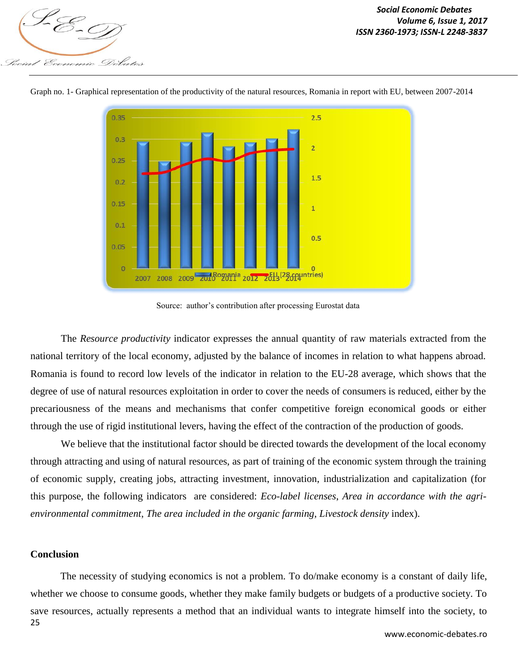Economic Debates

*Social Economic Debates Volume 6, Issue 1, 2017 Volume 6, ISSNe 1, 2011*<br>ISSN 2360-1973; ISSN-L 2248-3837<br>ISSN 2360-1973; ISSN-L 2248-3837



Graph no. 1- Graphical representation of the productivity of the natural resources, Romania in report with EU, between 2007-2014

Source: author's contribution after processing Eurostat data

The *Resource productivity* indicator expresses the annual quantity of raw materials extracted from the national territory of the local economy, adjusted by the balance of incomes in relation to what happens abroad. Romania is found to record low levels of the indicator in relation to the EU-28 average, which shows that the degree of use of natural resources exploitation in order to cover the needs of consumers is reduced, either by the precariousness of the means and mechanisms that confer competitive foreign economical goods or either through the use of rigid institutional levers, having the effect of the contraction of the production of goods.

We believe that the institutional factor should be directed towards the development of the local economy through attracting and using of natural resources, as part of training of the economic system through the training of economic supply, creating jobs, attracting investment, innovation, industrialization and capitalization (for this purpose, the following indicators are considered: *Eco-label licenses*, *Area in accordance with the agrienvironmental commitment*, *The area included in the organic farming*, *Livestock density* index).

#### **Conclusion**

25 The necessity of studying economics is not a problem. To do/make economy is a constant of daily life, whether we choose to consume goods, whether they make family budgets or budgets of a productive society. To save resources, actually represents a method that an individual wants to integrate himself into the society, to